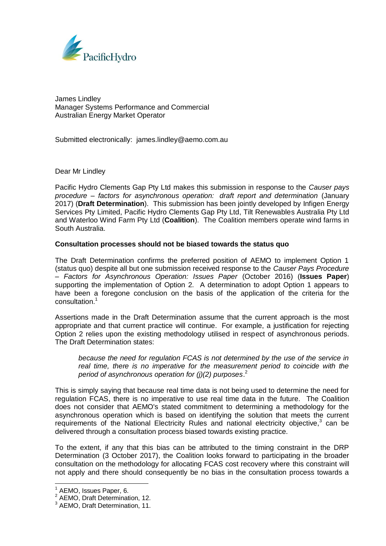

James Lindley Manager Systems Performance and Commercial Australian Energy Market Operator

Submitted electronically: james.lindley@aemo.com.au

## Dear Mr Lindley

Pacific Hydro Clements Gap Pty Ltd makes this submission in response to the *Causer pays procedure – factors for asynchronous operation: draft report and determination* (January 2017) (**Draft Determination**). This submission has been jointly developed by Infigen Energy Services Pty Limited, Pacific Hydro Clements Gap Pty Ltd, Tilt Renewables Australia Pty Ltd and Waterloo Wind Farm Pty Ltd (**Coalition**). The Coalition members operate wind farms in South Australia.

## **Consultation processes should not be biased towards the status quo**

The Draft Determination confirms the preferred position of AEMO to implement Option 1 (status quo) despite all but one submission received response to the *Causer Pays Procedure – Factors for Asynchronous Operation: Issues Paper* (October 2016) (**Issues Paper**) supporting the implementation of Option 2. A determination to adopt Option 1 appears to have been a foregone conclusion on the basis of the application of the criteria for the consultation.<sup>1</sup>

Assertions made in the Draft Determination assume that the current approach is the most appropriate and that current practice will continue. For example, a justification for rejecting Option 2 relies upon the existing methodology utilised in respect of asynchronous periods. The Draft Determination states:

*because the need for regulation FCAS is not determined by the use of the service in real time, there is no imperative for the measurement period to coincide with the period of asynchronous operation for (j)(2) purposes*. 2

This is simply saying that because real time data is not being used to determine the need for regulation FCAS, there is no imperative to use real time data in the future. The Coalition does not consider that AEMO's stated commitment to determining a methodology for the asynchronous operation which is based on identifying the solution that meets the current requirements of the National Electricity Rules and national electricity objective, $3$  can be delivered through a consultation process biased towards existing practice.

To the extent, if any that this bias can be attributed to the timing constraint in the DRP Determination (3 October 2017), the Coalition looks forward to participating in the broader consultation on the methodology for allocating FCAS cost recovery where this constraint will not apply and there should consequently be no bias in the consultation process towards a

AEMO, Issues Paper, 6.

<sup>&</sup>lt;sup>2</sup> AEMO, Draft Determination, 12.

<sup>&</sup>lt;sup>3</sup> AEMO, Draft Determination, 11.